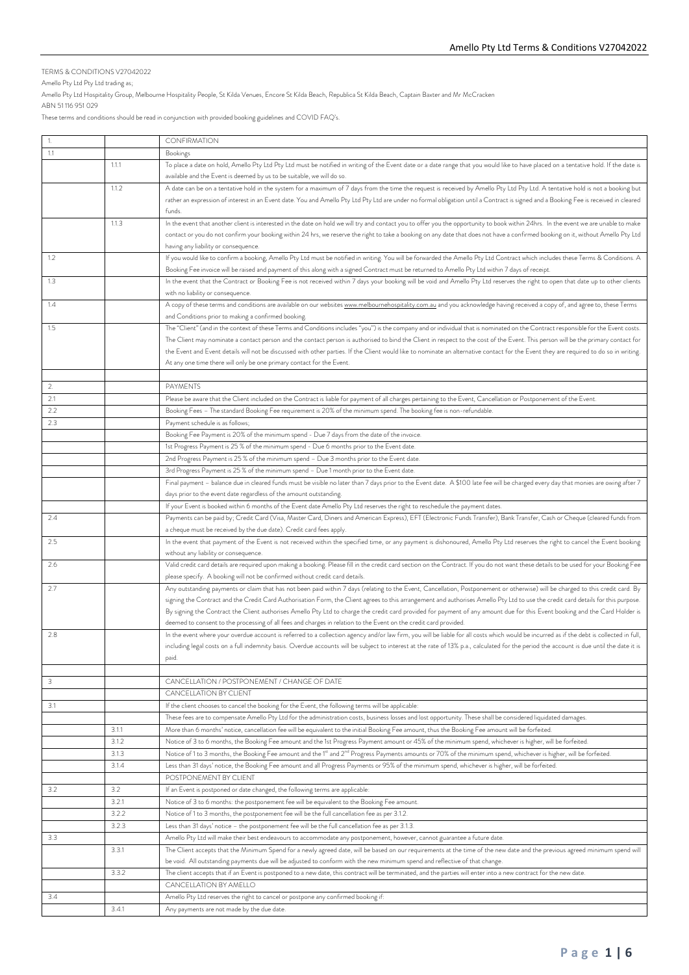## TERMS & CONDITIONS V27042022

Amello Pty Ltd Pty Ltd trading as;

Amello Pty Ltd Hospitality Group, Melbourne Hospitality People, St Kilda Venues, Encore St Kilda Beach, Republica St Kilda Beach, Captain Baxter and Mr McCracken

ABN 51 116 951 029

These terms and conditions should be read in conjunction with provided booking guidelines and COVID FAQ's.

|     |       | <b>CONFIRMATION</b>                                                                                                                                                                        |
|-----|-------|--------------------------------------------------------------------------------------------------------------------------------------------------------------------------------------------|
| 1.1 |       | <b>Bookings</b>                                                                                                                                                                            |
|     | 1.1.1 | To place a date on hold, Amello Pty Ltd Pty Ltd must be notified in writing of the Event date or a date range that you would like to have placed on a tentative hold. If the date is       |
|     |       | available and the Event is deemed by us to be suitable, we will do so.                                                                                                                     |
|     | 1.1.2 | A date can be on a tentative hold in the system for a maximum of 7 days from the time the request is received by Amello Pty Ltd Pty Ltd. A tentative hold is not a booking but             |
|     |       | rather an expression of interest in an Event date. You and Amello Pty Ltd Pty Ltd are under no formal obligation until a Contract is signed and a Booking Fee is received in cleared       |
|     |       | funds.                                                                                                                                                                                     |
|     | 1.1.3 | In the event that another client is interested in the date on hold we will try and contact you to offer you the opportunity to book within 24hrs. In the event we are unable to make       |
|     |       | contact or you do not confirm your booking within 24 hrs, we reserve the right to take a booking on any date that does not have a confirmed booking on it, without Amello Pty Ltd          |
|     |       | having any liability or consequence.                                                                                                                                                       |
| 1.2 |       | If you would like to confirm a booking, Amello Pty Ltd must be notified in writing. You will be forwarded the Amello Pty Ltd Contract which includes these Terms & Conditions. A           |
|     |       | Booking Fee invoice will be raised and payment of this along with a signed Contract must be returned to Amello Pty Ltd within 7 days of receipt.                                           |
| 1.3 |       | In the event that the Contract or Booking Fee is not received within 7 days your booking will be void and Amello Pty Ltd reserves the right to open that date up to other clients          |
|     |       | with no liability or consequence.                                                                                                                                                          |
| 1.4 |       | A copy of these terms and conditions are available on our websites www.melbournehospitality.com.au and you acknowledge having received a copy of, and agree to, these Terms                |
|     |       | and Conditions prior to making a confirmed booking.                                                                                                                                        |
| 1.5 |       | The "Client" (and in the context of these Terms and Conditions includes "you") is the company and or individual that is nominated on the Contract responsible for the Event costs.         |
|     |       | The Client may nominate a contact person and the contact person is authorised to bind the Client in respect to the cost of the Event. This person will be the primary contact for          |
|     |       | the Event and Event details will not be discussed with other parties. If the Client would like to nominate an alternative contact for the Event they are required to do so in writing.     |
|     |       | At any one time there will only be one primary contact for the Event.                                                                                                                      |
|     |       |                                                                                                                                                                                            |
| 2.  |       | <b>PAYMENTS</b>                                                                                                                                                                            |
| 2.1 |       | Please be aware that the Client included on the Contract is liable for payment of all charges pertaining to the Event, Cancellation or Postponement of the Event.                          |
| 2.2 |       | Booking Fees - The standard Booking Fee requirement is 20% of the minimum spend. The booking fee is non-refundable.                                                                        |
| 2.3 |       | Payment schedule is as follows;                                                                                                                                                            |
|     |       | Booking Fee Payment is 20% of the minimum spend - Due 7 days from the date of the invoice.                                                                                                 |
|     |       | 1st Progress Payment is 25 % of the minimum spend - Due 6 months prior to the Event date.                                                                                                  |
|     |       | 2nd Progress Payment is 25 % of the minimum spend - Due 3 months prior to the Event date.                                                                                                  |
|     |       | 3rd Progress Payment is 25 % of the minimum spend - Due 1 month prior to the Event date.                                                                                                   |
|     |       | Final payment - balance due in cleared funds must be visible no later than 7 days prior to the Event date. A \$100 late fee will be charged every day that monies are owing after 7        |
|     |       | days prior to the event date regardless of the amount outstanding.                                                                                                                         |
|     |       | If your Event is booked within 6 months of the Event date Amello Pty Ltd reserves the right to reschedule the payment dates.                                                               |
| 2.4 |       | Payments can be paid by; Credit Card (Visa, Master Card, Diners and American Express), EFT (Electronic Funds Transfer), Bank Transfer, Cash or Cheque (cleared funds from                  |
|     |       | a cheque must be received by the due date). Credit card fees apply.                                                                                                                        |
| 2.5 |       | In the event that payment of the Event is not received within the specified time, or any payment is dishonoured, Amello Pty Ltd reserves the right to cancel the Event booking             |
|     |       | without any liability or consequence.                                                                                                                                                      |
| 2.6 |       | Valid credit card details are required upon making a booking. Please fill in the credit card section on the Contract. If you do not want these details to be used for your Booking Fee     |
|     |       | please specify. A booking will not be confirmed without credit card details.                                                                                                               |
| 2.7 |       | Any outstanding payments or claim that has not been paid within 7 days (relating to the Event, Cancellation, Postponement or otherwise) will be charged to this credit card. By            |
|     |       | signing the Contract and the Credit Card Authorisation Form, the Client agrees to this arrangement and authorises Amello Pty Ltd to use the credit card details for this purpose.          |
|     |       | By signing the Contract the Client authorises Amello Pty Ltd to charge the credit card provided for payment of any amount due for this Event booking and the Card Holder is                |
|     |       | deemed to consent to the processing of all fees and charges in relation to the Event on the credit card provided.                                                                          |
| 2.8 |       | In the event where your overdue account is referred to a collection agency and/or law firm, you will be liable for all costs which would be incurred as if the debt is collected in full,  |
|     |       | including legal costs on a full indemnity basis. Overdue accounts will be subject to interest at the rate of 13% p.a., calculated for the period the account is due until the date it is   |
|     |       | paid.                                                                                                                                                                                      |
|     |       |                                                                                                                                                                                            |
| 3   |       | CANCELLATION / POSTPONEMENT / CHANGE OF DATE                                                                                                                                               |
|     |       | CANCELLATION BY CLIENT                                                                                                                                                                     |
| 3.1 |       | If the client chooses to cancel the booking for the Event, the following terms will be applicable:                                                                                         |
|     |       | These fees are to compensate Amello Pty Ltd for the administration costs, business losses and lost opportunity. These shall be considered liquidated damages.                              |
|     | 3.1.1 | More than 6 months' notice, cancellation fee will be equivalent to the initial Booking Fee amount, thus the Booking Fee amount will be forfeited.                                          |
|     | 3.1.2 | Notice of 3 to 6 months, the Booking Fee amount and the 1st Progress Payment amount or 45% of the minimum spend, whichever is higher, will be forfeited.                                   |
|     | 3.1.3 | Notice of 1 to 3 months, the Booking Fee amount and the 1 <sup>st</sup> and 2 <sup>nd</sup> Progress Payments amounts or 70% of the minimum spend, whichever is higher, will be forfeited. |
|     | 3.1.4 | Less than 31 days' notice, the Booking Fee amount and all Progress Payments or 95% of the minimum spend, whichever is higher, will be forfeited.                                           |
|     |       | POSTPONEMENT BY CLIENT                                                                                                                                                                     |
| 3.2 | 3.2   | If an Event is postponed or date changed, the following terms are applicable:                                                                                                              |
|     | 3.2.1 | Notice of 3 to 6 months: the postponement fee will be equivalent to the Booking Fee amount.                                                                                                |
|     | 3.2.2 | Notice of 1 to 3 months, the postponement fee will be the full cancellation fee as per 3.1.2.                                                                                              |
|     | 3.2.3 | Less than 31 days' notice - the postponement fee will be the full cancellation fee as per 3.1.3.                                                                                           |
| 3.3 |       | Amello Pty Ltd will make their best endeavours to accommodate any postponement, however, cannot guarantee a future date.                                                                   |
|     | 3.3.1 |                                                                                                                                                                                            |
|     |       | The Client accepts that the Minimum Spend for a newly agreed date, will be based on our requirements at the time of the new date and the previous agreed minimum spend will                |
|     |       | be void. All outstanding payments due will be adjusted to conform with the new minimum spend and reflective of that change.                                                                |
|     | 3.3.2 | The client accepts that if an Event is postponed to a new date, this contract will be terminated, and the parties will enter into a new contract for the new date.                         |
|     |       | CANCELLATION BY AMELLO                                                                                                                                                                     |
| 3.4 |       | Amello Pty Ltd reserves the right to cancel or postpone any confirmed booking if:                                                                                                          |
|     | 3.4.1 | Any payments are not made by the due date.                                                                                                                                                 |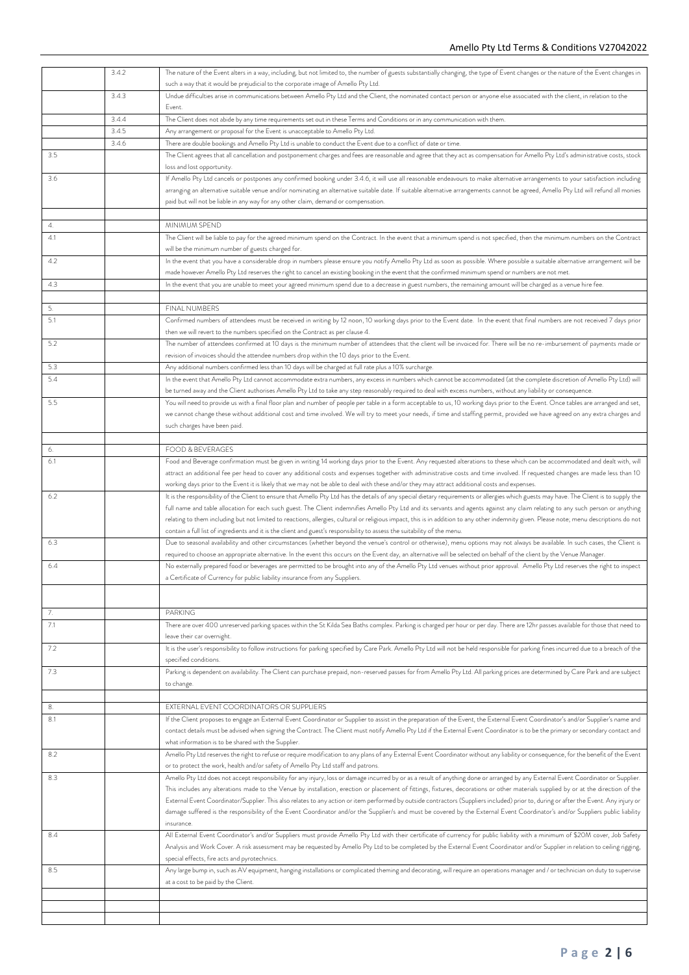|     | 3.4.2 | The nature of the Event alters in a way, including, but not limited to, the number of guests substantially changing, the type of Event changes or the nature of the Event changes in                                                                       |
|-----|-------|------------------------------------------------------------------------------------------------------------------------------------------------------------------------------------------------------------------------------------------------------------|
|     |       | such a way that it would be prejudicial to the corporate image of Amello Pty Ltd.                                                                                                                                                                          |
|     | 3.4.3 | Undue difficulties arise in communications between Amello Pty Ltd and the Client, the nominated contact person or anyone else associated with the client, in relation to the                                                                               |
|     |       | Event.                                                                                                                                                                                                                                                     |
|     | 3.4.4 |                                                                                                                                                                                                                                                            |
|     |       | The Client does not abide by any time requirements set out in these Terms and Conditions or in any communication with them.                                                                                                                                |
|     | 3.4.5 | Any arrangement or proposal for the Event is unacceptable to Amello Pty Ltd.                                                                                                                                                                               |
|     | 3.4.6 | There are double bookings and Amello Pty Ltd is unable to conduct the Event due to a conflict of date or time.                                                                                                                                             |
| 3.5 |       | The Client agrees that all cancellation and postponement charges and fees are reasonable and agree that they act as compensation for Amello Pty Ltd's administrative costs, stock<br>loss and lost opportunity.                                            |
| 3.6 |       | If Amello Pty Ltd cancels or postpones any confirmed booking under 3.4.6, it will use all reasonable endeavours to make alternative arrangements to your satisfaction including                                                                            |
|     |       | arranging an alternative suitable venue and/or nominating an alternative suitable date. If suitable alternative arrangements cannot be agreed, Amello Pty Ltd will refund all monies                                                                       |
|     |       | paid but will not be liable in any way for any other claim, demand or compensation.                                                                                                                                                                        |
|     |       |                                                                                                                                                                                                                                                            |
| 4.  |       | MINIMUM SPEND                                                                                                                                                                                                                                              |
| 4.1 |       | The Client will be liable to pay for the agreed minimum spend on the Contract. In the event that a minimum spend is not specified, then the minimum numbers on the Contract                                                                                |
|     |       | will be the minimum number of guests charged for.                                                                                                                                                                                                          |
| 4.2 |       | In the event that you have a considerable drop in numbers please ensure you notify Amello Pty Ltd as soon as possible. Where possible a suitable alternative arrangement will be                                                                           |
|     |       | made however Amello Pty Ltd reserves the right to cancel an existing booking in the event that the confirmed minimum spend or numbers are not met.                                                                                                         |
| 4.3 |       | In the event that you are unable to meet your agreed minimum spend due to a decrease in guest numbers, the remaining amount will be charged as a venue hire fee.                                                                                           |
|     |       |                                                                                                                                                                                                                                                            |
| 5.  |       | FINAL NUMBERS                                                                                                                                                                                                                                              |
| 5.1 |       | Confirmed numbers of attendees must be received in writing by 12 noon, 10 working days prior to the Event date. In the event that final numbers are not received 7 days prior                                                                              |
|     |       |                                                                                                                                                                                                                                                            |
|     |       | then we will revert to the numbers specified on the Contract as per clause 4.<br>The number of attendees confirmed at 10 days is the minimum number of attendees that the client will be invoiced for. There will be no re-imbursement of payments made or |
| 5.2 |       |                                                                                                                                                                                                                                                            |
|     |       | revision of invoices should the attendee numbers drop within the 10 days prior to the Event.                                                                                                                                                               |
| 5.3 |       | Any additional numbers confirmed less than 10 days will be charged at full rate plus a 10% surcharge.                                                                                                                                                      |
| 5.4 |       | In the event that Amello Pty Ltd cannot accommodate extra numbers, any excess in numbers which cannot be accommodated (at the complete discretion of Amello Pty Ltd) will                                                                                  |
|     |       | be turned away and the Client authorises Amello Pty Ltd to take any step reasonably required to deal with excess numbers, without any liability or consequence.                                                                                            |
| 5.5 |       | You will need to provide us with a final floor plan and number of people per table in a form acceptable to us, 10 working days prior to the Event. Once tables are arranged and set,                                                                       |
|     |       | we cannot change these without additional cost and time involved. We will try to meet your needs, if time and staffing permit, provided we have agreed on any extra charges and                                                                            |
|     |       | such charges have been paid.                                                                                                                                                                                                                               |
|     |       |                                                                                                                                                                                                                                                            |
| 6.  |       | <b>FOOD &amp; BEVERAGES</b>                                                                                                                                                                                                                                |
| 6.1 |       | Food and Beverage confirmation must be given in writing 14 working days prior to the Event. Any requested alterations to these which can be accommodated and dealt with, will                                                                              |
|     |       | attract an additional fee per head to cover any additional costs and expenses together with administrative costs and time involved. If requested changes are made less than 10                                                                             |
|     |       | working days prior to the Event it is likely that we may not be able to deal with these and/or they may attract additional costs and expenses.                                                                                                             |
| 6.2 |       | It is the responsibility of the Client to ensure that Amello Pty Ltd has the details of any special dietary requirements or allergies which guests may have. The Client is to supply the                                                                   |
|     |       | full name and table allocation for each such guest. The Client indemnifies Amello Pty Ltd and its servants and agents against any claim relating to any such person or anything                                                                            |
|     |       | relating to them including but not limited to reactions, allergies, cultural or religious impact, this is in addition to any other indemnity given. Please note; menu descriptions do not                                                                  |
|     |       | contain a full list of ingredients and it is the client and guest's responsibility to assess the suitability of the menu.                                                                                                                                  |
| 6.3 |       | Due to seasonal availability and other circumstances (whether beyond the venue's control or otherwise), menu options may not always be available. In such cases, the Client is                                                                             |
|     |       | required to choose an appropriate alternative. In the event this occurs on the Event day, an alternative will be selected on behalf of the client by the Venue Manager.                                                                                    |
| 6.4 |       | No externally prepared food or beverages are permitted to be brought into any of the Amello Pty Ltd venues without prior approval. Amello Pty Ltd reserves the right to inspect                                                                            |
|     |       | a Certificate of Currency for public liability insurance from any Suppliers.                                                                                                                                                                               |
|     |       |                                                                                                                                                                                                                                                            |
|     |       |                                                                                                                                                                                                                                                            |
| 7.  |       | <b>PARKING</b>                                                                                                                                                                                                                                             |
| 7.1 |       | There are over 400 unreserved parking spaces within the St Kilda Sea Baths complex. Parking is charged per hour or per day. There are 12hr passes available for those that need to                                                                         |
|     |       | leave their car overnight.                                                                                                                                                                                                                                 |
| 7.2 |       | It is the user's responsibility to follow instructions for parking specified by Care Park. Amello Pty Ltd will not be held responsible for parking fines incurred due to a breach of the                                                                   |
|     |       | specified conditions.                                                                                                                                                                                                                                      |
| 7.3 |       | Parking is dependent on availability. The Client can purchase prepaid, non-reserved passes for from Amello Pty Ltd. All parking prices are determined by Care Park and are subject                                                                         |
|     |       |                                                                                                                                                                                                                                                            |
|     |       | to change.                                                                                                                                                                                                                                                 |
|     |       |                                                                                                                                                                                                                                                            |
| 8.  |       | EXTERNAL EVENT COORDINATORS OR SUPPLIERS                                                                                                                                                                                                                   |
| 8.1 |       | If the Client proposes to engage an External Event Coordinator or Supplier to assist in the preparation of the Event, the External Event Coordinator's and/or Supplier's name and                                                                          |
|     |       | contact details must be advised when signing the Contract. The Client must notify Amello Pty Ltd if the External Event Coordinator is to be the primary or secondary contact and                                                                           |
|     |       | what information is to be shared with the Supplier.                                                                                                                                                                                                        |
| 8.2 |       | Amello Pty Ltd reserves the right to refuse or require modification to any plans of any External Event Coordinator without any liability or consequence, for the benefit of the Event                                                                      |
|     |       | or to protect the work, health and/or safety of Amello Pty Ltd staff and patrons.                                                                                                                                                                          |
| 8.3 |       | Amello Pty Ltd does not accept responsibility for any injury, loss or damage incurred by or as a result of anything done or arranged by any External Event Coordinator or Supplier.                                                                        |
|     |       | This includes any alterations made to the Venue by installation, erection or placement of fittings, fixtures, decorations or other materials supplied by or at the direction of the                                                                        |
|     |       | External Event Coordinator/Supplier. This also relates to any action or item performed by outside contractors (Suppliers included) prior to, during or after the Event. Any injury or                                                                      |
|     |       | damage suffered is the responsibility of the Event Coordinator and/or the Supplier/s and must be covered by the External Event Coordinator's and/or Suppliers public liability                                                                             |
|     |       | insurance.                                                                                                                                                                                                                                                 |
| 8.4 |       | All External Event Coordinator's and/or Suppliers must provide Amello Pty Ltd with their certificate of currency for public liability with a minimum of \$20M cover, Job Safety                                                                            |
|     |       | Analysis and Work Cover. A risk assessment may be requested by Amello Pty Ltd to be completed by the External Event Coordinator and/or Supplier in relation to ceiling rigging,                                                                            |
|     |       | special effects, fire acts and pyrotechnics.                                                                                                                                                                                                               |
| 8.5 |       | Any large bump in, such as AV equipment, hanging installations or complicated theming and decorating, will require an operations manager and / or technician on duty to supervise                                                                          |
|     |       | at a cost to be paid by the Client.                                                                                                                                                                                                                        |
|     |       |                                                                                                                                                                                                                                                            |
|     |       |                                                                                                                                                                                                                                                            |
|     |       |                                                                                                                                                                                                                                                            |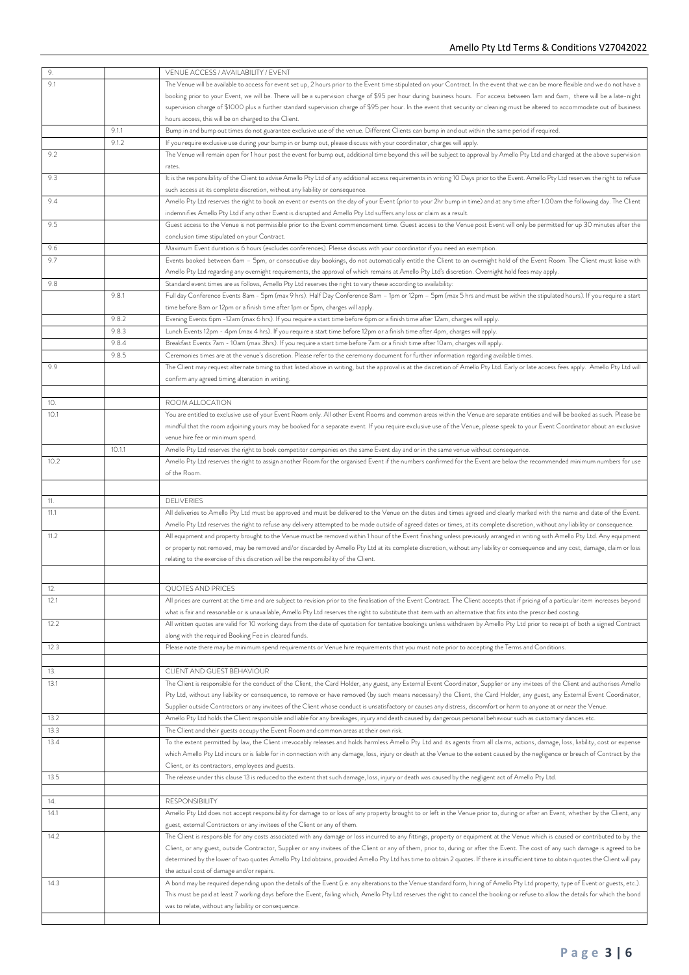| 9.   |        | VENUE ACCESS / AVAILABILITY / EVENT                                                                                                                                                                                                                                                                                                                 |
|------|--------|-----------------------------------------------------------------------------------------------------------------------------------------------------------------------------------------------------------------------------------------------------------------------------------------------------------------------------------------------------|
| 9.1  |        | The Venue will be available to access for event set up, 2 hours prior to the Event time stipulated on your Contract. In the event that we can be more flexible and we do not have a                                                                                                                                                                 |
|      |        | booking prior to your Event, we will be. There will be a supervision charge of \$95 per hour during business hours. For access between 1am and 6am, there will be a late-night                                                                                                                                                                      |
|      |        | supervision charge of \$1000 plus a further standard supervision charge of \$95 per hour. In the event that security or cleaning must be altered to accommodate out of business                                                                                                                                                                     |
|      |        | hours access, this will be on charged to the Client.                                                                                                                                                                                                                                                                                                |
|      | 9.1.1  | Bump in and bump out times do not guarantee exclusive use of the venue. Different Clients can bump in and out within the same period if required.                                                                                                                                                                                                   |
|      | 9.1.2  | If you require exclusive use during your bump in or bump out, please discuss with your coordinator, charges will apply.                                                                                                                                                                                                                             |
| 9.2  |        | The Venue will remain open for 1 hour post the event for bump out, additional time beyond this will be subject to approval by Amello Pty Ltd and charged at the above supervision<br>rates.                                                                                                                                                         |
| 9.3  |        | It is the responsibility of the Client to advise Amello Pty Ltd of any additional access requirements in writing 10 Days prior to the Event. Amello Pty Ltd reserves the right to refuse                                                                                                                                                            |
|      |        | such access at its complete discretion, without any liability or consequence.                                                                                                                                                                                                                                                                       |
| 9.4  |        | Amello Pty Ltd reserves the right to book an event or events on the day of your Event (prior to your 2hr bump in time) and at any time after 1.00am the following day. The Client<br>indemnifies Amello Pty Ltd if any other Event is disrupted and Amello Pty Ltd suffers any loss or claim as a result.                                           |
| 9.5  |        | Guest access to the Venue is not permissible prior to the Event commencement time. Guest access to the Venue post Event will only be permitted for up 30 minutes after the<br>conclusion time stipulated on your Contract.                                                                                                                          |
| 9.6  |        | Maximum Event duration is 6 hours (excludes conferences). Please discuss with your coordinator if you need an exemption.                                                                                                                                                                                                                            |
| 9.7  |        | Events booked between 6am - 5pm, or consecutive day bookings, do not automatically entitle the Client to an overnight hold of the Event Room. The Client must liaise with                                                                                                                                                                           |
|      |        | Amello Pty Ltd regarding any overnight requirements, the approval of which remains at Amello Pty Ltd's discretion. Overnight hold fees may apply.                                                                                                                                                                                                   |
| 9.8  |        | Standard event times are as follows, Amello Pty Ltd reserves the right to vary these according to availability:                                                                                                                                                                                                                                     |
|      | 9.8.1  | Full day Conference Events 8am - 5pm (max 9 hrs). Half Day Conference 8am – 1pm or 12pm – 5pm (max 5 hrs and must be within the stipulated hours). If you require a start                                                                                                                                                                           |
|      |        | time before 8am or 12pm or a finish time after 1pm or 5pm, charges will apply.                                                                                                                                                                                                                                                                      |
|      | 9.8.2  | Evening Events 6pm -12am (max 6 hrs). If you require a start time before 6pm or a finish time after 12am, charges will apply.                                                                                                                                                                                                                       |
|      | 9.8.3  | Lunch Events 12pm - 4pm (max 4 hrs). If you require a start time before 12pm or a finish time after 4pm, charges will apply.                                                                                                                                                                                                                        |
|      | 9.8.4  | Breakfast Events 7am - 10am (max 3hrs). If you require a start time before 7am or a finish time after 10am, charges will apply.                                                                                                                                                                                                                     |
|      | 9.8.5  | Ceremonies times are at the venue's discretion. Please refer to the ceremony document for further information regarding available times.                                                                                                                                                                                                            |
| 9.9  |        | The Client may request alternate timing to that listed above in writing, but the approval is at the discretion of Amello Pty Ltd. Early or late access fees apply. Amello Pty Ltd will                                                                                                                                                              |
|      |        | confirm any agreed timing alteration in writing.                                                                                                                                                                                                                                                                                                    |
|      |        |                                                                                                                                                                                                                                                                                                                                                     |
| 10.  |        | ROOM ALLOCATION                                                                                                                                                                                                                                                                                                                                     |
| 10.1 |        | You are entitled to exclusive use of your Event Room only. All other Event Rooms and common areas within the Venue are separate entities and will be booked as such. Please be                                                                                                                                                                      |
|      |        | mindful that the room adjoining yours may be booked for a separate event. If you require exclusive use of the Venue, please speak to your Event Coordinator about an exclusive                                                                                                                                                                      |
|      |        | venue hire fee or minimum spend.                                                                                                                                                                                                                                                                                                                    |
|      | 10.1.1 | Amello Pty Ltd reserves the right to book competitor companies on the same Event day and or in the same venue without consequence.                                                                                                                                                                                                                  |
| 10.2 |        | Amello Pty Ltd reserves the right to assign another Room for the organised Event if the numbers confirmed for the Event are below the recommended minimum numbers for use                                                                                                                                                                           |
|      |        | of the Room.                                                                                                                                                                                                                                                                                                                                        |
|      |        |                                                                                                                                                                                                                                                                                                                                                     |
| 11.  |        | <b>DELIVERIES</b>                                                                                                                                                                                                                                                                                                                                   |
| 11.1 |        | All deliveries to Amello Pty Ltd must be approved and must be delivered to the Venue on the dates and times agreed and clearly marked with the name and date of the Event.                                                                                                                                                                          |
|      |        | Amello Pty Ltd reserves the right to refuse any delivery attempted to be made outside of agreed dates or times, at its complete discretion, without any liability or consequence.                                                                                                                                                                   |
| 11.2 |        | All equipment and property brought to the Venue must be removed within 1 hour of the Event finishing unless previously arranged in writing with Amello Pty Ltd. Any equipment                                                                                                                                                                       |
|      |        | or property not removed, may be removed and/or discarded by Amello Pty Ltd at its complete discretion, without any liability or consequence and any cost, damage, claim or loss                                                                                                                                                                     |
|      |        | relating to the exercise of this discretion will be the responsibility of the Client.                                                                                                                                                                                                                                                               |
|      |        |                                                                                                                                                                                                                                                                                                                                                     |
| 14.  |        | QUOTES AND PRICES                                                                                                                                                                                                                                                                                                                                   |
| 12.1 |        | All prices are current at the time and are subject to revision prior to the finalisation of the Event Contract. The Client accepts that if pricing of a particular item increases beyond                                                                                                                                                            |
|      |        | what is fair and reasonable or is unavailable, Amello Pty Ltd reserves the right to substitute that item with an alternative that fits into the prescribed costing.                                                                                                                                                                                 |
| 12.2 |        | All written quotes are valid for 10 working days from the date of quotation for tentative bookings unless withdrawn by Amello Pty Ltd prior to receipt of both a signed Contract                                                                                                                                                                    |
|      |        | along with the required Booking Fee in cleared funds.                                                                                                                                                                                                                                                                                               |
| 12.3 |        | Please note there may be minimum spend requirements or Venue hire requirements that you must note prior to accepting the Terms and Conditions.                                                                                                                                                                                                      |
|      |        |                                                                                                                                                                                                                                                                                                                                                     |
| 13.  |        | CLIENT AND GUEST BEHAVIOUR                                                                                                                                                                                                                                                                                                                          |
| 13.1 |        | The Client is responsible for the conduct of the Client, the Card Holder, any guest, any External Event Coordinator, Supplier or any invitees of the Client and authorises Amello                                                                                                                                                                   |
|      |        | Pty Ltd, without any liability or consequence, to remove or have removed (by such means necessary) the Client, the Card Holder, any guest, any External Event Coordinator,<br>Supplier outside Contractors or any invitees of the Client whose conduct is unsatisfactory or causes any distress, discomfort or harm to anyone at or near the Venue. |
| 13.2 |        | Amello Pty Ltd holds the Client responsible and liable for any breakages, injury and death caused by dangerous personal behaviour such as customary dances etc.                                                                                                                                                                                     |
| 13.3 |        | The Client and their guests occupy the Event Room and common areas at their own risk.                                                                                                                                                                                                                                                               |
| 13.4 |        | To the extent permitted by law, the Client irrevocably releases and holds harmless Amello Pty Ltd and its agents from all claims, actions, damage, loss, liability, cost or expense                                                                                                                                                                 |
|      |        | which Amello Pty Ltd incurs or is liable for in connection with any damage, loss, injury or death at the Venue to the extent caused by the negligence or breach of Contract by the                                                                                                                                                                  |
|      |        | Client, or its contractors, employees and guests.                                                                                                                                                                                                                                                                                                   |
| 13.5 |        | The release under this clause 13 is reduced to the extent that such damage, loss, injury or death was caused by the negligent act of Amello Pty Ltd.                                                                                                                                                                                                |
|      |        |                                                                                                                                                                                                                                                                                                                                                     |
| 14.  |        | <b>RESPONSIBILITY</b>                                                                                                                                                                                                                                                                                                                               |
| 14.1 |        | Amello Pty Ltd does not accept responsibility for damage to or loss of any property brought to or left in the Venue prior to, during or after an Event, whether by the Client, any                                                                                                                                                                  |
|      |        | guest, external Contractors or any invitees of the Client or any of them.                                                                                                                                                                                                                                                                           |
| 14.2 |        | The Client is responsible for any costs associated with any damage or loss incurred to any fittings, property or equipment at the Venue which is caused or contributed to by the                                                                                                                                                                    |
|      |        | Client, or any guest, outside Contractor, Supplier or any invitees of the Client or any of them, prior to, during or after the Event. The cost of any such damage is agreed to be                                                                                                                                                                   |
|      |        | determined by the lower of two quotes Amello Pty Ltd obtains, provided Amello Pty Ltd has time to obtain 2 quotes. If there is insufficient time to obtain quotes the Client will pay                                                                                                                                                               |
|      |        | the actual cost of damage and/or repairs.                                                                                                                                                                                                                                                                                                           |
| 14.3 |        | A bond may be required depending upon the details of the Event (i.e. any alterations to the Venue standard form, hiring of Amello Pty Ltd property, type of Event or guests, etc.).                                                                                                                                                                 |
|      |        | This must be paid at least 7 working days before the Event, failing which, Amello Pty Ltd reserves the right to cancel the booking or refuse to allow the details for which the bond                                                                                                                                                                |
|      |        | was to relate, without any liability or consequence.                                                                                                                                                                                                                                                                                                |
|      |        |                                                                                                                                                                                                                                                                                                                                                     |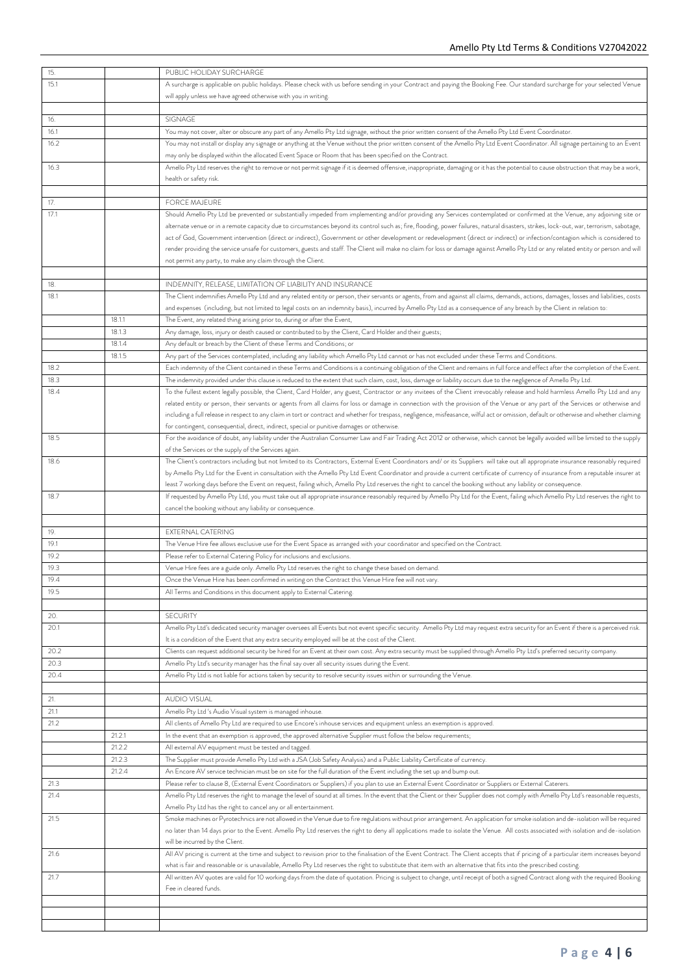| 15.  |        | PUBLIC HOLIDAY SURCHARGE                                                                                                                                                                  |
|------|--------|-------------------------------------------------------------------------------------------------------------------------------------------------------------------------------------------|
| 15.1 |        | A surcharge is applicable on public holidays. Please check with us before sending in your Contract and paying the Booking Fee. Our standard surcharge for your selected Venue             |
|      |        | will apply unless we have agreed otherwise with you in writing.                                                                                                                           |
|      |        |                                                                                                                                                                                           |
| 16.  |        | SIGNAGE                                                                                                                                                                                   |
| 16.1 |        | You may not cover, alter or obscure any part of any Amello Pty Ltd signage, without the prior written consent of the Amello Pty Ltd Event Coordinator.                                    |
| 16.2 |        | You may not install or display any signage or anything at the Venue without the prior written consent of the Amello Pty Ltd Event Coordinator. All signage pertaining to an Event         |
|      |        | may only be displayed within the allocated Event Space or Room that has been specified on the Contract.                                                                                   |
| 16.3 |        | Amello Pty Ltd reserves the right to remove or not permit signage if it is deemed offensive, inappropriate, damaging or it has the potential to cause obstruction that may be a work,     |
|      |        | health or safety risk.                                                                                                                                                                    |
|      |        |                                                                                                                                                                                           |
| 17.  |        | <b>FORCE MAJEURE</b>                                                                                                                                                                      |
| 17.1 |        | Should Amello Pty Ltd be prevented or substantially impeded from implementing and/or providing any Services contemplated or confirmed at the Venue, any adjoining site or                 |
|      |        | alternate venue or in a remote capacity due to circumstances beyond its control such as; fire, flooding, power failures, natural disasters, strikes, lock-out, war, terrorism, sabotage,  |
|      |        | act of God, Government intervention (direct or indirect), Government or other development or redevelopment (direct or indirect) or infection/contagion which is considered to             |
|      |        | render providing the service unsafe for customers, guests and staff. The Client will make no claim for loss or damage against Amello Pty Ltd or any related entity or person and will     |
|      |        | not permit any party, to make any claim through the Client.                                                                                                                               |
|      |        |                                                                                                                                                                                           |
| 18.  |        | INDEMNITY, RELEASE, LIMITATION OF LIABILITY AND INSURANCE                                                                                                                                 |
| 18.1 |        | The Client indemnifies Amello Pty Ltd and any related entity or person, their servants or agents, from and against all claims, demands, actions, damages, losses and liabilities, costs   |
|      |        | and expenses (including, but not limited to legal costs on an indemnity basis), incurred by Amello Pty Ltd as a consequence of any breach by the Client in relation to:                   |
|      | 18.1.1 | The Event, any related thing arising prior to, during or after the Event,                                                                                                                 |
|      | 18.1.3 | Any damage, loss, injury or death caused or contributed to by the Client, Card Holder and their guests;                                                                                   |
|      | 18.1.4 | Any default or breach by the Client of these Terms and Conditions; or                                                                                                                     |
|      | 18.1.5 | Any part of the Services contemplated, including any liability which Amello Pty Ltd cannot or has not excluded under these Terms and Conditions.                                          |
| 18.2 |        | Each indemnity of the Client contained in these Terms and Conditions is a continuing obligation of the Client and remains in full force and effect after the completion of the Event.     |
| 18.3 |        | The indemnity provided under this clause is reduced to the extent that such claim, cost, loss, damage or liability occurs due to the negligence of Amello Pty Ltd.                        |
| 18.4 |        | To the fullest extent legally possible, the Client, Card Holder, any guest, Contractor or any invitees of the Client irrevocably release and hold harmless Amello Pty Ltd and any         |
|      |        | related entity or person, their servants or agents from all claims for loss or damage in connection with the provision of the Venue or any part of the Services or otherwise and          |
|      |        | including a full release in respect to any claim in tort or contract and whether for trespass, negligence, misfeasance, wilful act or omission, default or otherwise and whether claiming |
|      |        | for contingent, consequential, direct, indirect, special or punitive damages or otherwise.                                                                                                |
| 18.5 |        | For the avoidance of doubt, any liability under the Australian Consumer Law and Fair Trading Act 2012 or otherwise, which cannot be legally avoided will be limited to the supply         |
|      |        | of the Services or the supply of the Services again.                                                                                                                                      |
| 18.6 |        | The Client's contractors including but not limited to its Contractors, External Event Coordinators and/ or its Suppliers will take out all appropriate insurance reasonably required      |
|      |        | by Amello Pty Ltd for the Event in consultation with the Amello Pty Ltd Event Coordinator and provide a current certificate of currency of insurance from a reputable insurer at          |
|      |        | least 7 working days before the Event on request, failing which, Amello Pty Ltd reserves the right to cancel the booking without any liability or consequence.                            |
| 18.7 |        | If requested by Amello Pty Ltd, you must take out all appropriate insurance reasonably required by Amello Pty Ltd for the Event, failing which Amello Pty Ltd reserves the right to       |
|      |        | cancel the booking without any liability or consequence.                                                                                                                                  |
|      |        |                                                                                                                                                                                           |
| 19.  |        | <b>EXTERNAL CATERING</b>                                                                                                                                                                  |
| 19.1 |        | The Venue Hire fee allows exclusive use for the Event Space as arranged with your coordinator and specified on the Contract.                                                              |
| 19.2 |        | Please refer to External Catering Policy for inclusions and exclusions.                                                                                                                   |
| 19.3 |        | Venue Hire fees are a guide only. Amello Pty Ltd reserves the right to change these based on demand.                                                                                      |
| 19.4 |        | Once the Venue Hire has been confirmed in writing on the Contract this Venue Hire fee will not vary.                                                                                      |
| 19.5 |        | All Terms and Conditions in this document apply to External Catering.                                                                                                                     |
|      |        |                                                                                                                                                                                           |
| 20.  |        | <b>SECURITY</b>                                                                                                                                                                           |
| 20.1 |        | Amello Pty Ltd's dedicated security manager oversees all Events but not event specific security. Amello Pty Ltd may request extra security for an Event if there is a perceived risk.     |
|      |        | It is a condition of the Event that any extra security employed will be at the cost of the Client.                                                                                        |
| 20.2 |        | Clients can request additional security be hired for an Event at their own cost. Any extra security must be supplied through Amello Pty Ltd's preferred security company.                 |
| 20.3 |        | Amello Pty Ltd's security manager has the final say over all security issues during the Event.                                                                                            |
| 20.4 |        | Amello Pty Ltd is not liable for actions taken by security to resolve security issues within or surrounding the Venue.                                                                    |
|      |        |                                                                                                                                                                                           |
| 21.  |        | AUDIO VISUAL                                                                                                                                                                              |
| 21.1 |        | Amello Pty Ltd 's Audio Visual system is managed inhouse.                                                                                                                                 |
| 21.2 |        | All clients of Amello Pty Ltd are required to use Encore's inhouse services and equipment unless an exemption is approved.                                                                |
|      | 21.2.1 | In the event that an exemption is approved, the approved alternative Supplier must follow the below requirements;                                                                         |
|      | 21.2.2 | All external AV equipment must be tested and tagged.                                                                                                                                      |
|      | 21.2.3 | The Supplier must provide Amello Pty Ltd with a JSA (Job Safety Analysis) and a Public Liability Certificate of currency.                                                                 |
|      | 21.2.4 | An Encore AV service technician must be on site for the full duration of the Event including the set up and bump out.                                                                     |
| 21.3 |        | Please refer to clause 8, (External Event Coordinators or Suppliers) if you plan to use an External Event Coordinator or Suppliers or External Caterers.                                  |
| 21.4 |        | Amello Pty Ltd reserves the right to manage the level of sound at all times. In the event that the Client or their Supplier does not comply with Amello Pty Ltd's reasonable requests,    |
|      |        | Amello Pty Ltd has the right to cancel any or all entertainment.                                                                                                                          |
| 21.5 |        | Smoke machines or Pyrotechnics are not allowed in the Venue due to fire regulations without prior arrangement. An application for smoke isolation and de-isolation will be required       |
|      |        | no later than 14 days prior to the Event. Amello Pty Ltd reserves the right to deny all applications made to isolate the Venue. All costs associated with isolation and de-isolation      |
|      |        | will be incurred by the Client.                                                                                                                                                           |
| 21.6 |        | All AV pricing is current at the time and subject to revision prior to the finalisation of the Event Contract. The Client accepts that if pricing of a particular item increases beyond   |
|      |        | what is fair and reasonable or is unavailable, Amello Pty Ltd reserves the right to substitute that item with an alternative that fits into the prescribed costing.                       |
| 21.7 |        | All written AV quotes are valid for 10 working days from the date of quotation. Pricing is subject to change, until receipt of both a signed Contract along with the required Booking     |
|      |        | Fee in cleared funds.                                                                                                                                                                     |
|      |        |                                                                                                                                                                                           |
|      |        |                                                                                                                                                                                           |
|      |        |                                                                                                                                                                                           |
|      |        |                                                                                                                                                                                           |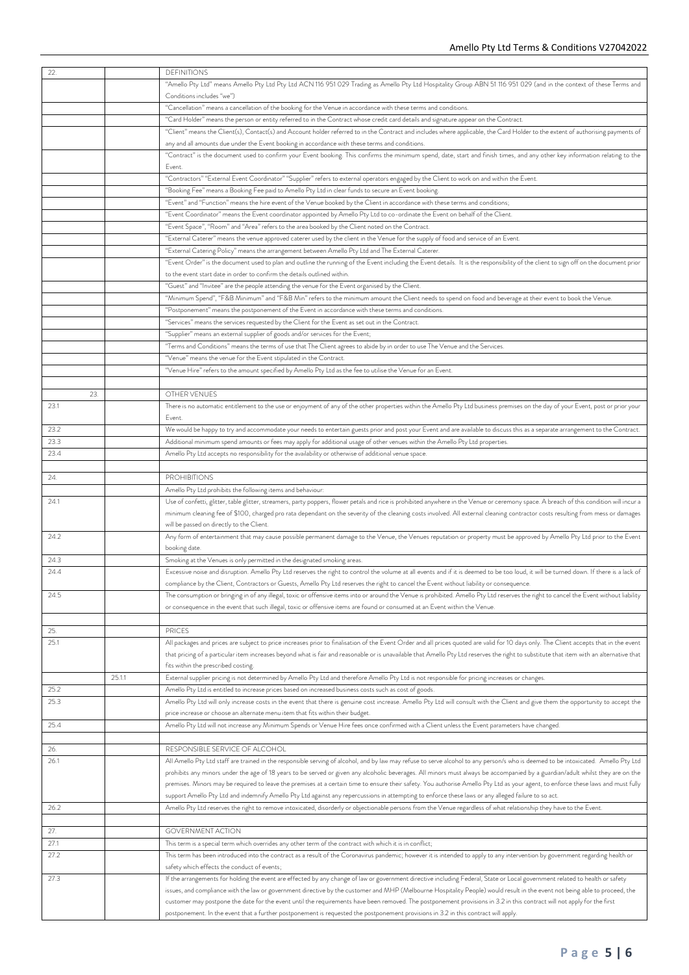| 22.         |        | <b>DEFINITIONS</b>                                                                                                                                                                                                                                                                                                                       |
|-------------|--------|------------------------------------------------------------------------------------------------------------------------------------------------------------------------------------------------------------------------------------------------------------------------------------------------------------------------------------------|
|             |        | "Amello Pty Ltd" means Amello Pty Ltd Pty Ltd ACN 116 951 029 Trading as Amello Pty Ltd Hospitality Group ABN 51 116 951 029 (and in the context of these Terms and                                                                                                                                                                      |
|             |        | Conditions includes "we")                                                                                                                                                                                                                                                                                                                |
|             |        | "Cancellation" means a cancellation of the booking for the Venue in accordance with these terms and conditions.                                                                                                                                                                                                                          |
|             |        | "Card Holder" means the person or entity referred to in the Contract whose credit card details and signature appear on the Contract.                                                                                                                                                                                                     |
|             |        | "Client" means the Client(s), Contact(s) and Account holder referred to in the Contract and includes where applicable, the Card Holder to the extent of authorising payments of<br>any and all amounts due under the Event booking in accordance with these terms and conditions.                                                        |
|             |        | "Contract" is the document used to confirm your Event booking. This confirms the minimum spend, date, start and finish times, and any other key information relating to the                                                                                                                                                              |
|             |        | Event.                                                                                                                                                                                                                                                                                                                                   |
|             |        | "Contractors" "External Event Coordinator" "Supplier" refers to external operators engaged by the Client to work on and within the Event.                                                                                                                                                                                                |
|             |        | "Booking Fee" means a Booking Fee paid to Amello Pty Ltd in clear funds to secure an Event booking.                                                                                                                                                                                                                                      |
|             |        | "Event" and "Function" means the hire event of the Venue booked by the Client in accordance with these terms and conditions;                                                                                                                                                                                                             |
|             |        | "Event Coordinator" means the Event coordinator appointed by Amello Pty Ltd to co-ordinate the Event on behalf of the Client.                                                                                                                                                                                                            |
|             |        | "Event Space", "Room" and "Area" refers to the area booked by the Client noted on the Contract.                                                                                                                                                                                                                                          |
|             |        | "External Caterer" means the venue approved caterer used by the client in the Venue for the supply of food and service of an Event.                                                                                                                                                                                                      |
|             |        | "External Catering Policy" means the arrangement between Amello Pty Ltd and The External Caterer.                                                                                                                                                                                                                                        |
|             |        | "Event Order" is the document used to plan and outline the running of the Event including the Event details. It is the responsibility of the client to sign off on the document prior                                                                                                                                                    |
|             |        | to the event start date in order to confirm the details outlined within.                                                                                                                                                                                                                                                                 |
|             |        | "Guest" and "Invitee" are the people attending the venue for the Event organised by the Client.                                                                                                                                                                                                                                          |
|             |        | "Minimum Spend", "F&B Minimum" and "F&B Min" refers to the minimum amount the Client needs to spend on food and beverage at their event to book the Venue.                                                                                                                                                                               |
|             |        | "Postponement" means the postponement of the Event in accordance with these terms and conditions.                                                                                                                                                                                                                                        |
|             |        | "Services" means the services requested by the Client for the Event as set out in the Contract.<br>"Supplier" means an external supplier of goods and/or services for the Event;                                                                                                                                                         |
|             |        | "Terms and Conditions" means the terms of use that The Client agrees to abide by in order to use The Venue and the Services.                                                                                                                                                                                                             |
|             |        | "Venue" means the venue for the Event stipulated in the Contract.                                                                                                                                                                                                                                                                        |
|             |        | "Venue Hire" refers to the amount specified by Amello Pty Ltd as the fee to utilise the Venue for an Event.                                                                                                                                                                                                                              |
|             |        |                                                                                                                                                                                                                                                                                                                                          |
| 23.         |        | OTHER VENUES                                                                                                                                                                                                                                                                                                                             |
| 23.1        |        | There is no automatic entitlement to the use or enjoyment of any of the other properties within the Amello Pty Ltd business premises on the day of your Event, post or prior your                                                                                                                                                        |
|             |        | Event.                                                                                                                                                                                                                                                                                                                                   |
| 23.2        |        | We would be happy to try and accommodate your needs to entertain guests prior and post your Event and are available to discuss this as a separate arrangement to the Contract.                                                                                                                                                           |
| 23.3        |        | Additional minimum spend amounts or fees may apply for additional usage of other venues within the Amello Pty Ltd properties.                                                                                                                                                                                                            |
| 23.4        |        | Amello Pty Ltd accepts no responsibility for the availability or otherwise of additional venue space.                                                                                                                                                                                                                                    |
|             |        |                                                                                                                                                                                                                                                                                                                                          |
| 24.         |        | <b>PROHIBITIONS</b>                                                                                                                                                                                                                                                                                                                      |
|             |        | Amello Pty Ltd prohibits the following items and behaviour:<br>Use of confetti, glitter, table glitter, streamers, party poppers, flower petals and rice is prohibited anywhere in the Venue or ceremony space. A breach of this condition will incur a                                                                                  |
| 24.1        |        | minimum cleaning fee of \$100, charged pro rata dependant on the severity of the cleaning costs involved. All external cleaning contractor costs resulting from mess or damages                                                                                                                                                          |
|             |        | will be passed on directly to the Client.                                                                                                                                                                                                                                                                                                |
| 24.2        |        | Any form of entertainment that may cause possible permanent damage to the Venue, the Venues reputation or property must be approved by Amello Pty Ltd prior to the Event                                                                                                                                                                 |
|             |        | booking date.                                                                                                                                                                                                                                                                                                                            |
| 24.3        |        | Smoking at the Venues is only permitted in the designated smoking areas.                                                                                                                                                                                                                                                                 |
| 24.4        |        | Excessive noise and disruption. Amello Pty Ltd reserves the right to control the volume at all events and if it is deemed to be too loud, it will be turned down. If there is a lack of                                                                                                                                                  |
|             |        | compliance by the Client, Contractors or Guests, Amello Pty Ltd reserves the right to cancel the Event without liability or consequence.                                                                                                                                                                                                 |
| 24.5        |        | The consumption or bringing in of any illegal, toxic or offensive items into or around the Venue is prohibited. Amello Pty Ltd reserves the right to cancel the Event without liability                                                                                                                                                  |
|             |        | or consequence in the event that such illegal, toxic or offensive items are found or consumed at an Event within the Venue.                                                                                                                                                                                                              |
|             |        |                                                                                                                                                                                                                                                                                                                                          |
| 25.<br>25.1 |        | <b>PRICES</b><br>All packages and prices are subject to price increases prior to finalisation of the Event Order and all prices quoted are valid for 10 days only. The Client accepts that in the event                                                                                                                                  |
|             |        | that pricing of a particular item increases beyond what is fair and reasonable or is unavailable that Amello Pty Ltd reserves the right to substitute that item with an alternative that                                                                                                                                                 |
|             |        | fits within the prescribed costing.                                                                                                                                                                                                                                                                                                      |
|             | 25.1.1 | External supplier pricing is not determined by Amello Pty Ltd and therefore Amello Pty Ltd is not responsible for pricing increases or changes.                                                                                                                                                                                          |
| 25.2        |        | Amello Pty Ltd is entitled to increase prices based on increased business costs such as cost of goods.                                                                                                                                                                                                                                   |
| 25.3        |        | Amello Pty Ltd will only increase costs in the event that there is genuine cost increase. Amello Pty Ltd will consult with the Client and give them the opportunity to accept the                                                                                                                                                        |
|             |        | price increase or choose an alternate menu item that fits within their budget.                                                                                                                                                                                                                                                           |
| 25.4        |        | Amello Pty Ltd will not increase any Minimum Spends or Venue Hire fees once confirmed with a Client unless the Event parameters have changed.                                                                                                                                                                                            |
|             |        |                                                                                                                                                                                                                                                                                                                                          |
| 26.         |        | RESPONSIBLE SERVICE OF ALCOHOL                                                                                                                                                                                                                                                                                                           |
| 26.1        |        | All Amello Pty Ltd staff are trained in the responsible serving of alcohol, and by law may refuse to serve alcohol to any person/s who is deemed to be intoxicated. Amello Pty Ltd                                                                                                                                                       |
|             |        | prohibits any minors under the age of 18 years to be served or given any alcoholic beverages. All minors must always be accompanied by a guardian/adult whilst they are on the                                                                                                                                                           |
|             |        | premises. Minors may be required to leave the premises at a certain time to ensure their safety. You authorise Amello Pty Ltd as your agent, to enforce these laws and must fully<br>support Amello Pty Ltd and indemnify Amello Pty Ltd against any repercussions in attempting to enforce these laws or any alleged failure to so act. |
| 26.2        |        | Amello Pty Ltd reserves the right to remove intoxicated, disorderly or objectionable persons from the Venue regardless of what relationship they have to the Event.                                                                                                                                                                      |
|             |        |                                                                                                                                                                                                                                                                                                                                          |
| 27.         |        | <b>GOVERNMENT ACTION</b>                                                                                                                                                                                                                                                                                                                 |
| 27.1        |        | This term is a special term which overrides any other term of the contract with which it is in conflict;                                                                                                                                                                                                                                 |
| 27.2        |        | This term has been introduced into the contract as a result of the Coronavirus pandemic; however it is intended to apply to any intervention by government regarding health or                                                                                                                                                           |
|             |        | safety which effects the conduct of events;                                                                                                                                                                                                                                                                                              |
| 27.3        |        | If the arrangements for holding the event are effected by any change of law or government directive including Federal, State or Local government related to health or safety                                                                                                                                                             |
|             |        | issues, and compliance with the law or government directive by the customer and MHP (Melbourne Hospitality People) would result in the event not being able to proceed, the                                                                                                                                                              |
|             |        | customer may postpone the date for the event until the requirements have been removed. The postponement provisions in 3.2 in this contract will not apply for the first                                                                                                                                                                  |
|             |        | postponement. In the event that a further postponement is requested the postponement provisions in 3.2 in this contract will apply.                                                                                                                                                                                                      |